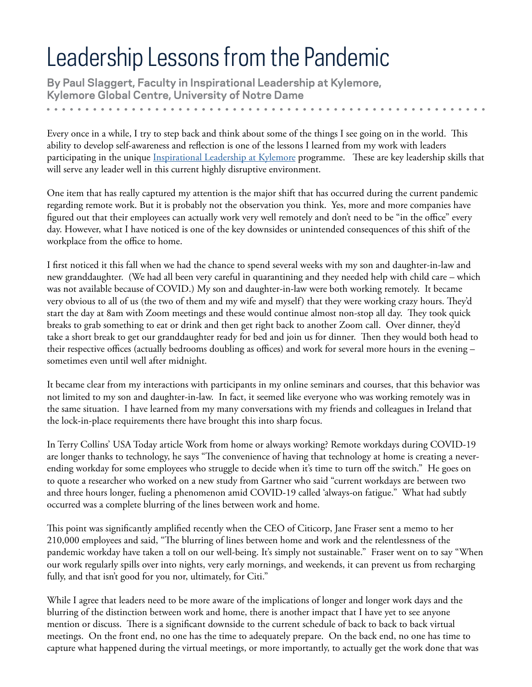## Leadership Lessons from the Pandemic

**By [Paul Slaggert,](https://kelley.iu.edu/programs/executive-education/staff-directory/index.cshtml) Faculty in Inspirational Leadership at Kylemore, Kylemore Global Centre, University of Notre Dame** 

Every once in a while, I try to step back and think about some of the things I see going on in the world. This ability to develop self-awareness and reflection is one of the lessons I learned from my work with leaders participating in the unique [Inspirational Leadership at Kylemore](https://kylemore.nd.edu/programs/leadership-programs/inspirational-leadership-at-kylemore/) programme. These are key leadership skills that will serve any leader well in this current highly disruptive environment.

One item that has really captured my attention is the major shift that has occurred during the current pandemic regarding remote work. But it is probably not the observation you think. Yes, more and more companies have figured out that their employees can actually work very well remotely and don't need to be "in the office" every day. However, what I have noticed is one of the key downsides or unintended consequences of this shift of the workplace from the office to home.

I first noticed it this fall when we had the chance to spend several weeks with my son and daughter-in-law and new granddaughter. (We had all been very careful in quarantining and they needed help with child care – which was not available because of COVID.) My son and daughter-in-law were both working remotely. It became very obvious to all of us (the two of them and my wife and myself) that they were working crazy hours. They'd start the day at 8am with Zoom meetings and these would continue almost non-stop all day. They took quick breaks to grab something to eat or drink and then get right back to another Zoom call. Over dinner, they'd take a short break to get our granddaughter ready for bed and join us for dinner. Then they would both head to their respective offices (actually bedrooms doubling as offices) and work for several more hours in the evening – sometimes even until well after midnight.

It became clear from my interactions with participants in my online seminars and courses, that this behavior was not limited to my son and daughter-in-law. In fact, it seemed like everyone who was working remotely was in the same situation. I have learned from my many conversations with my friends and colleagues in Ireland that the lock-in-place requirements there have brought this into sharp focus.

In Terry Collins' USA Today article Work from home or always working? Remote workdays during COVID-19 are longer thanks to technology, he says "The convenience of having that technology at home is creating a neverending workday for some employees who struggle to decide when it's time to turn off the switch." He goes on to quote a researcher who worked on a new study from Gartner who said "current workdays are between two and three hours longer, fueling a phenomenon amid COVID-19 called 'always-on fatigue." What had subtly occurred was a complete blurring of the lines between work and home.

This point was significantly amplified recently when the CEO of Citicorp, Jane Fraser sent a memo to her 210,000 employees and said, "The blurring of lines between home and work and the relentlessness of the pandemic workday have taken a toll on our well-being. It's simply not sustainable." Fraser went on to say "When our work regularly spills over into nights, very early mornings, and weekends, it can prevent us from recharging fully, and that isn't good for you nor, ultimately, for Citi."

While I agree that leaders need to be more aware of the implications of longer and longer work days and the blurring of the distinction between work and home, there is another impact that I have yet to see anyone mention or discuss. There is a significant downside to the current schedule of back to back to back virtual meetings. On the front end, no one has the time to adequately prepare. On the back end, no one has time to capture what happened during the virtual meetings, or more importantly, to actually get the work done that was